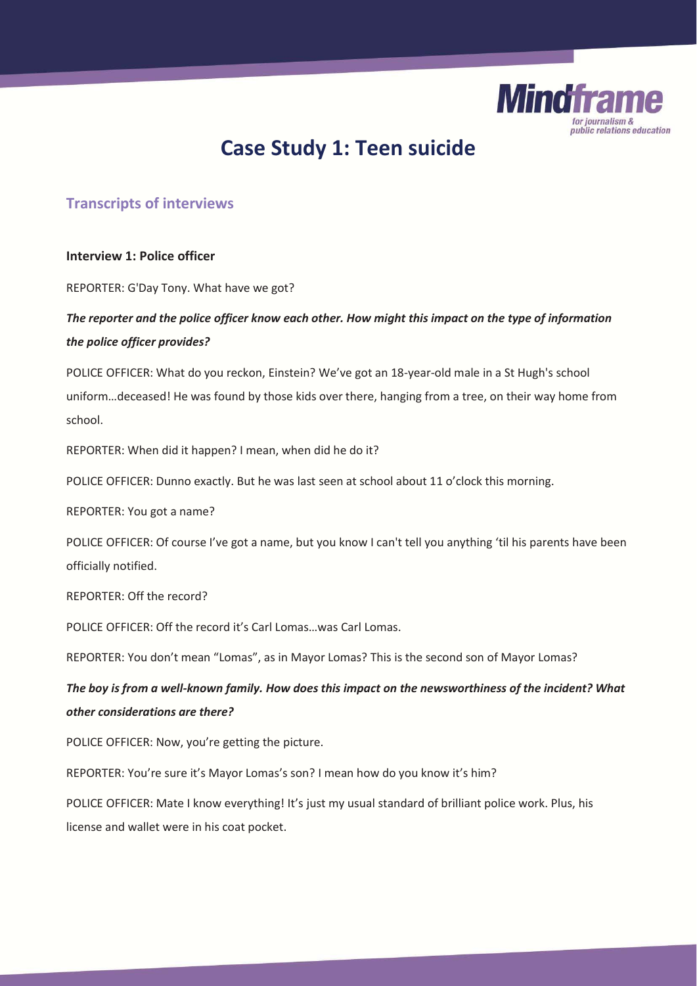

# **Case Study 1: Teen suicide**

### **Transcripts of interviews**

### **Interview 1: Police officer**

REPORTER: G'Day Tony. What have we got?

## *The reporter and the police officer know each other. How might this impact on the type of information the police officer provides?*

POLICE OFFICER: What do you reckon, Einstein? We've got an 18-year-old male in a St Hugh's school uniform…deceased! He was found by those kids over there, hanging from a tree, on their way home from school.

REPORTER: When did it happen? I mean, when did he do it?

POLICE OFFICER: Dunno exactly. But he was last seen at school about 11 o'clock this morning.

REPORTER: You got a name?

POLICE OFFICER: Of course I've got a name, but you know I can't tell you anything 'til his parents have been officially notified.

REPORTER: Off the record?

POLICE OFFICER: Off the record it's Carl Lomas…was Carl Lomas.

REPORTER: You don't mean "Lomas", as in Mayor Lomas? This is the second son of Mayor Lomas?

*The boy is from a well-known family. How does this impact on the newsworthiness of the incident? What other considerations are there?* 

POLICE OFFICER: Now, you're getting the picture.

REPORTER: You're sure it's Mayor Lomas's son? I mean how do you know it's him?

POLICE OFFICER: Mate I know everything! It's just my usual standard of brilliant police work. Plus, his license and wallet were in his coat pocket.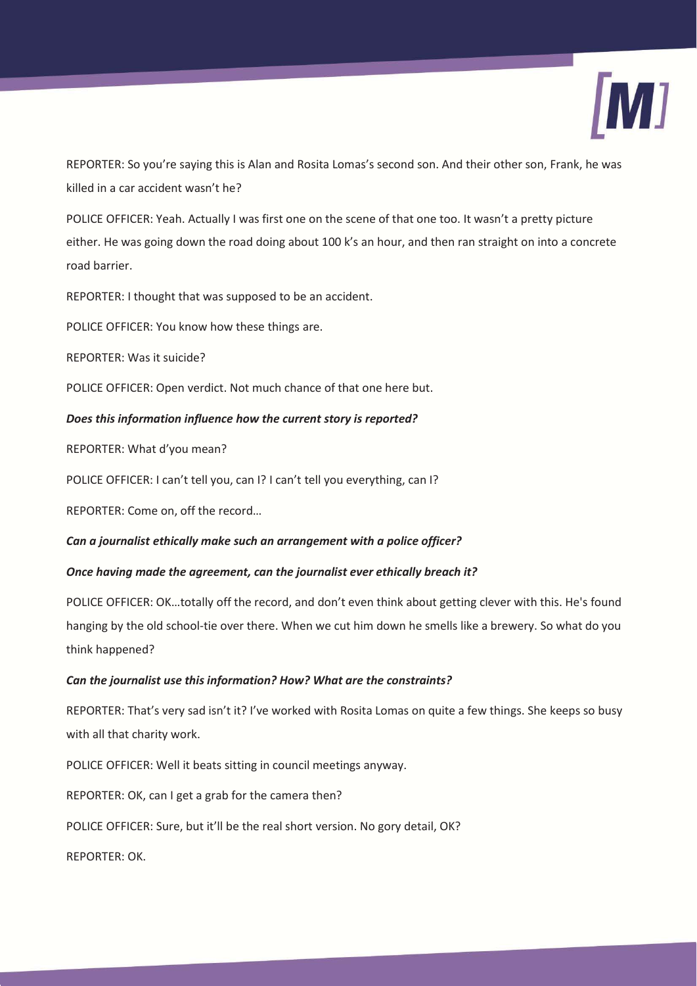

REPORTER: So you're saying this is Alan and Rosita Lomas's second son. And their other son, Frank, he was killed in a car accident wasn't he?

POLICE OFFICER: Yeah. Actually I was first one on the scene of that one too. It wasn't a pretty picture either. He was going down the road doing about 100 k's an hour, and then ran straight on into a concrete road barrier.

REPORTER: I thought that was supposed to be an accident.

POLICE OFFICER: You know how these things are.

REPORTER: Was it suicide?

POLICE OFFICER: Open verdict. Not much chance of that one here but.

### *Does this information influence how the current story is reported?*

REPORTER: What d'you mean?

POLICE OFFICER: I can't tell you, can I? I can't tell you everything, can I?

REPORTER: Come on, off the record…

### *Can a journalist ethically make such an arrangement with a police officer?*

### *Once having made the agreement, can the journalist ever ethically breach it?*

POLICE OFFICER: OK…totally off the record, and don't even think about getting clever with this. He's found hanging by the old school-tie over there. When we cut him down he smells like a brewery. So what do you think happened?

### *Can the journalist use this information? How? What are the constraints?*

REPORTER: That's very sad isn't it? I've worked with Rosita Lomas on quite a few things. She keeps so busy with all that charity work.

POLICE OFFICER: Well it beats sitting in council meetings anyway.

REPORTER: OK, can I get a grab for the camera then?

POLICE OFFICER: Sure, but it'll be the real short version. No gory detail, OK?

REPORTER: OK.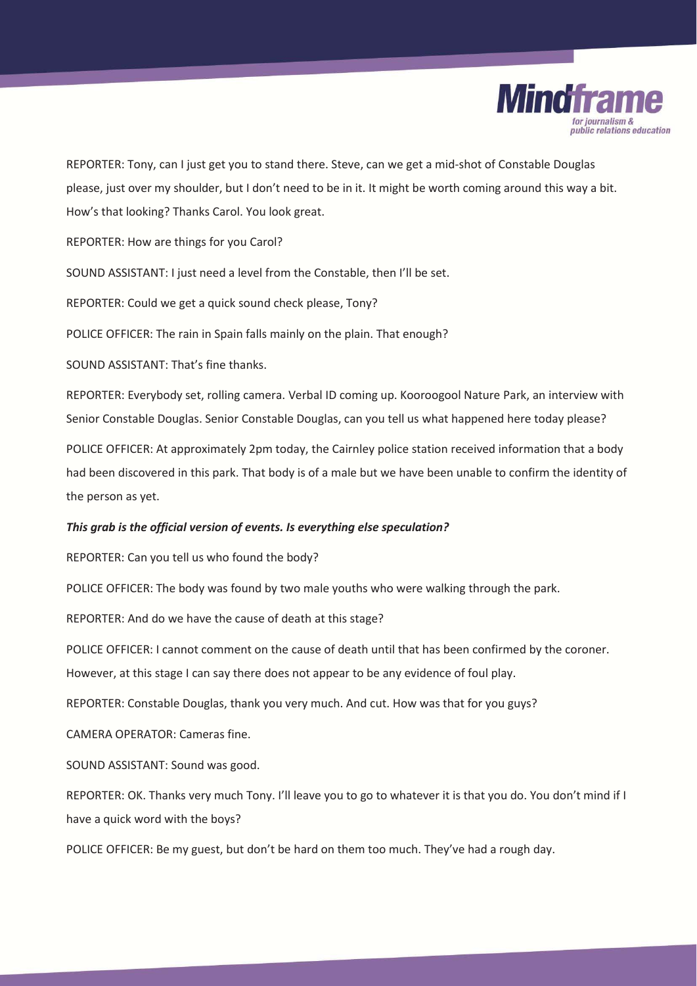

REPORTER: Tony, can I just get you to stand there. Steve, can we get a mid-shot of Constable Douglas please, just over my shoulder, but I don't need to be in it. It might be worth coming around this way a bit. How's that looking? Thanks Carol. You look great.

REPORTER: How are things for you Carol?

SOUND ASSISTANT: I just need a level from the Constable, then I'll be set.

REPORTER: Could we get a quick sound check please, Tony?

POLICE OFFICER: The rain in Spain falls mainly on the plain. That enough?

SOUND ASSISTANT: That's fine thanks.

REPORTER: Everybody set, rolling camera. Verbal ID coming up. Kooroogool Nature Park, an interview with Senior Constable Douglas. Senior Constable Douglas, can you tell us what happened here today please?

POLICE OFFICER: At approximately 2pm today, the Cairnley police station received information that a body had been discovered in this park. That body is of a male but we have been unable to confirm the identity of the person as yet.

### *This grab is the official version of events. Is everything else speculation?*

REPORTER: Can you tell us who found the body?

POLICE OFFICER: The body was found by two male youths who were walking through the park.

REPORTER: And do we have the cause of death at this stage?

POLICE OFFICER: I cannot comment on the cause of death until that has been confirmed by the coroner. However, at this stage I can say there does not appear to be any evidence of foul play.

REPORTER: Constable Douglas, thank you very much. And cut. How was that for you guys?

CAMERA OPERATOR: Cameras fine.

SOUND ASSISTANT: Sound was good.

REPORTER: OK. Thanks very much Tony. I'll leave you to go to whatever it is that you do. You don't mind if I have a quick word with the boys?

POLICE OFFICER: Be my guest, but don't be hard on them too much. They've had a rough day.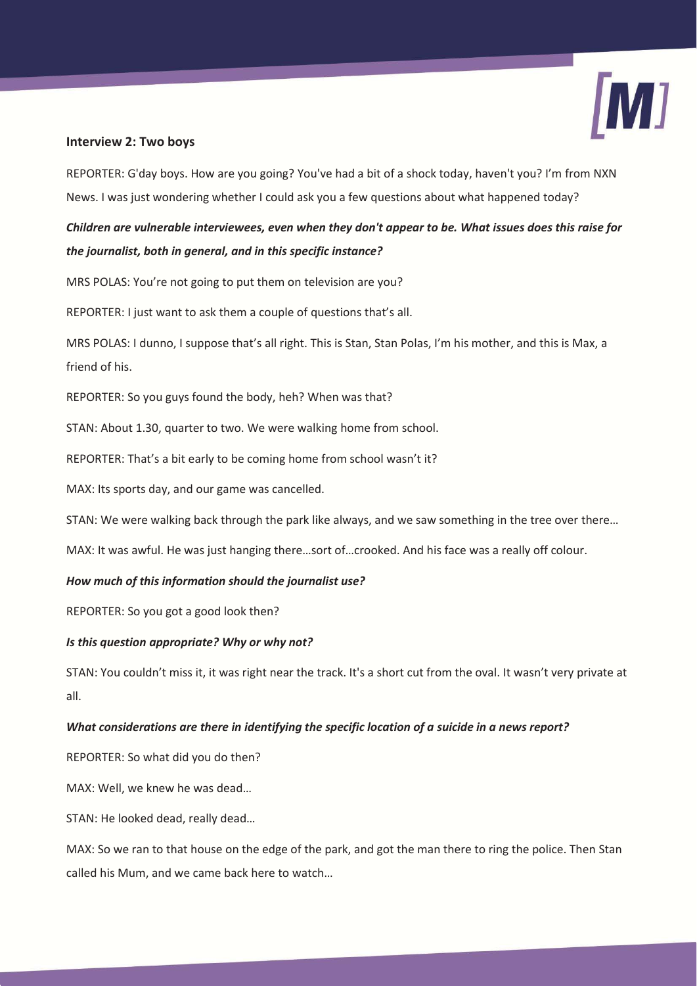

### **Interview 2: Two boys**

REPORTER: G'day boys. How are you going? You've had a bit of a shock today, haven't you? I'm from NXN News. I was just wondering whether I could ask you a few questions about what happened today?

# *Children are vulnerable interviewees, even when they don't appear to be. What issues does this raise for the journalist, both in general, and in this specific instance?*

MRS POLAS: You're not going to put them on television are you?

REPORTER: I just want to ask them a couple of questions that's all.

MRS POLAS: I dunno, I suppose that's all right. This is Stan, Stan Polas, I'm his mother, and this is Max, a friend of his.

REPORTER: So you guys found the body, heh? When was that?

STAN: About 1.30, quarter to two. We were walking home from school.

REPORTER: That's a bit early to be coming home from school wasn't it?

MAX: Its sports day, and our game was cancelled.

STAN: We were walking back through the park like always, and we saw something in the tree over there…

MAX: It was awful. He was just hanging there…sort of…crooked. And his face was a really off colour.

#### *How much of this information should the journalist use?*

REPORTER: So you got a good look then?

#### *Is this question appropriate? Why or why not?*

STAN: You couldn't miss it, it was right near the track. It's a short cut from the oval. It wasn't very private at all.

### *What considerations are there in identifying the specific location of a suicide in a news report?*

REPORTER: So what did you do then?

MAX: Well, we knew he was dead…

STAN: He looked dead, really dead…

MAX: So we ran to that house on the edge of the park, and got the man there to ring the police. Then Stan called his Mum, and we came back here to watch…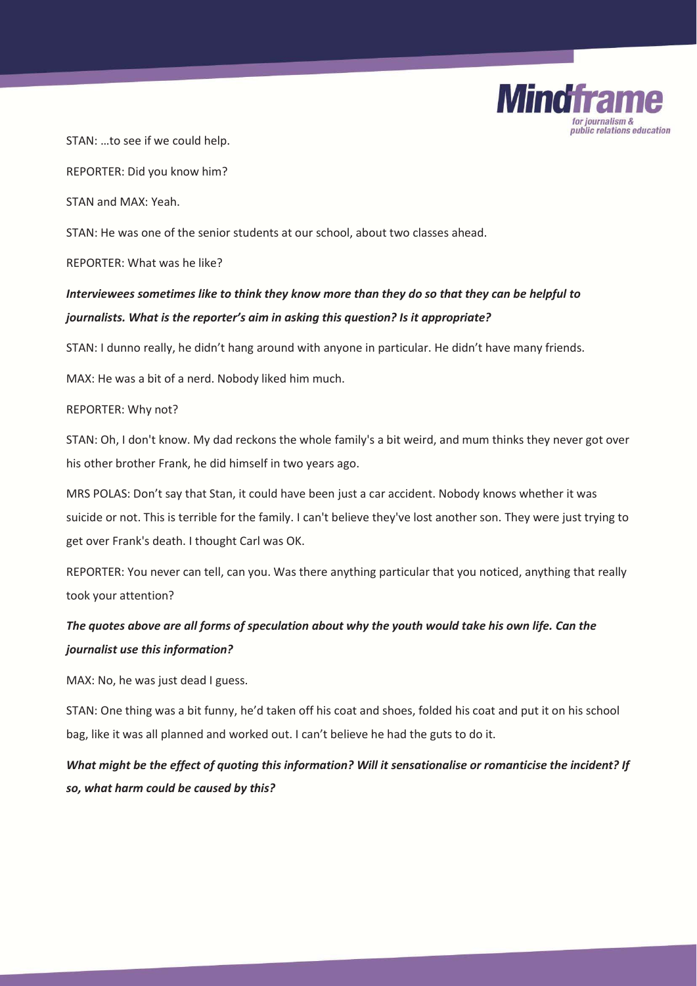

STAN: …to see if we could help.

REPORTER: Did you know him?

STAN and MAX: Yeah.

STAN: He was one of the senior students at our school, about two classes ahead.

REPORTER: What was he like?

# *Interviewees sometimes like to think they know more than they do so that they can be helpful to journalists. What is the reporter's aim in asking this question? Is it appropriate?*

STAN: I dunno really, he didn't hang around with anyone in particular. He didn't have many friends.

MAX: He was a bit of a nerd. Nobody liked him much.

REPORTER: Why not?

STAN: Oh, I don't know. My dad reckons the whole family's a bit weird, and mum thinks they never got over his other brother Frank, he did himself in two years ago.

MRS POLAS: Don't say that Stan, it could have been just a car accident. Nobody knows whether it was suicide or not. This is terrible for the family. I can't believe they've lost another son. They were just trying to get over Frank's death. I thought Carl was OK.

REPORTER: You never can tell, can you. Was there anything particular that you noticed, anything that really took your attention?

## *The quotes above are all forms of speculation about why the youth would take his own life. Can the journalist use this information?*

MAX: No, he was just dead I guess.

STAN: One thing was a bit funny, he'd taken off his coat and shoes, folded his coat and put it on his school bag, like it was all planned and worked out. I can't believe he had the guts to do it.

*What might be the effect of quoting this information? Will it sensationalise or romanticise the incident? If so, what harm could be caused by this?*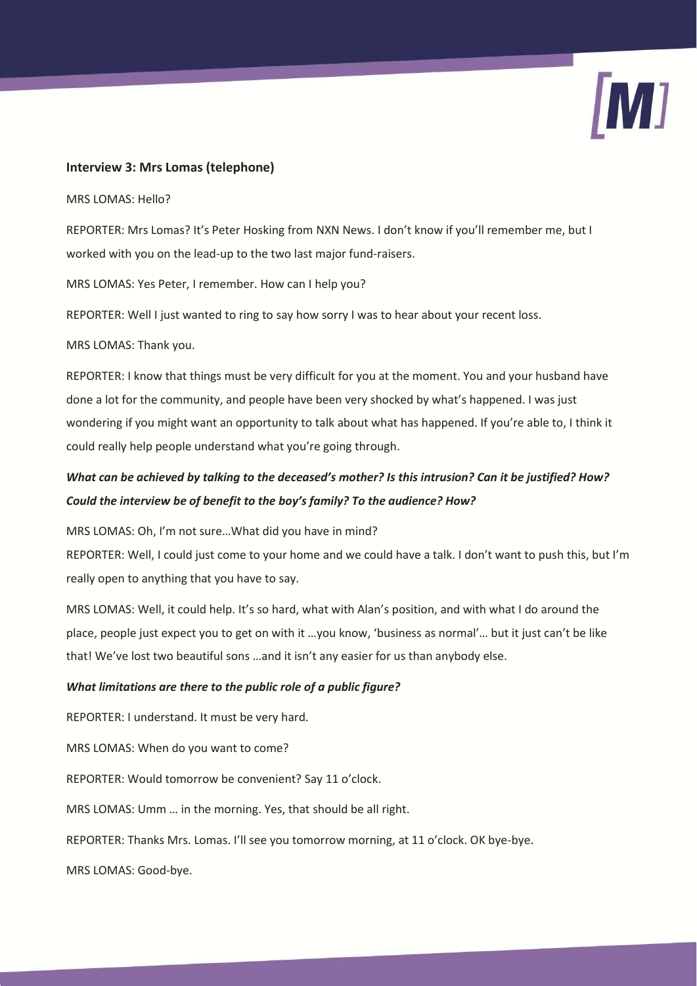

### **Interview 3: Mrs Lomas (telephone)**

MRS LOMAS: Hello?

REPORTER: Mrs Lomas? It's Peter Hosking from NXN News. I don't know if you'll remember me, but I worked with you on the lead-up to the two last major fund-raisers.

MRS LOMAS: Yes Peter, I remember. How can I help you?

REPORTER: Well I just wanted to ring to say how sorry I was to hear about your recent loss.

MRS LOMAS: Thank you.

REPORTER: I know that things must be very difficult for you at the moment. You and your husband have done a lot for the community, and people have been very shocked by what's happened. I was just wondering if you might want an opportunity to talk about what has happened. If you're able to, I think it could really help people understand what you're going through.

# *What can be achieved by talking to the deceased's mother? Is this intrusion? Can it be justified? How? Could the interview be of benefit to the boy's family? To the audience? How?*

MRS LOMAS: Oh, I'm not sure…What did you have in mind?

REPORTER: Well, I could just come to your home and we could have a talk. I don't want to push this, but I'm really open to anything that you have to say.

MRS LOMAS: Well, it could help. It's so hard, what with Alan's position, and with what I do around the place, people just expect you to get on with it …you know, 'business as normal'… but it just can't be like that! We've lost two beautiful sons …and it isn't any easier for us than anybody else.

### *What limitations are there to the public role of a public figure?*

REPORTER: I understand. It must be very hard.

MRS LOMAS: When do you want to come?

REPORTER: Would tomorrow be convenient? Say 11 o'clock.

MRS LOMAS: Umm … in the morning. Yes, that should be all right.

REPORTER: Thanks Mrs. Lomas. I'll see you tomorrow morning, at 11 o'clock. OK bye-bye.

MRS LOMAS: Good-bye.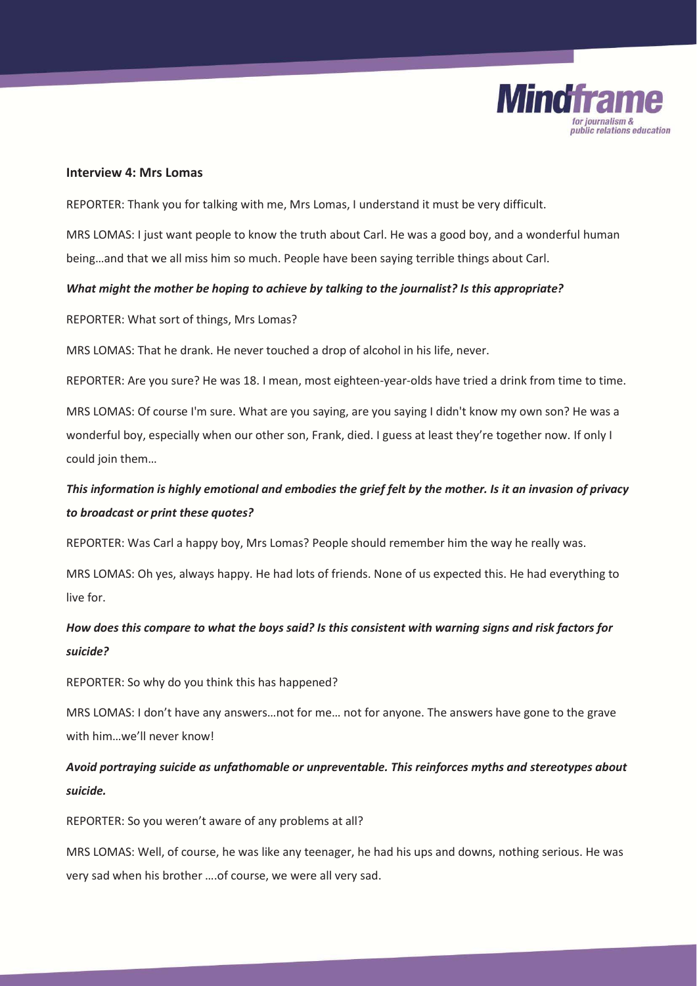

#### **Interview 4: Mrs Lomas**

REPORTER: Thank you for talking with me, Mrs Lomas, I understand it must be very difficult.

MRS LOMAS: I just want people to know the truth about Carl. He was a good boy, and a wonderful human being…and that we all miss him so much. People have been saying terrible things about Carl.

#### *What might the mother be hoping to achieve by talking to the journalist? Is this appropriate?*

REPORTER: What sort of things, Mrs Lomas?

MRS LOMAS: That he drank. He never touched a drop of alcohol in his life, never.

REPORTER: Are you sure? He was 18. I mean, most eighteen-year-olds have tried a drink from time to time.

MRS LOMAS: Of course I'm sure. What are you saying, are you saying I didn't know my own son? He was a wonderful boy, especially when our other son, Frank, died. I guess at least they're together now. If only I could join them…

# *This information is highly emotional and embodies the grief felt by the mother. Is it an invasion of privacy to broadcast or print these quotes?*

REPORTER: Was Carl a happy boy, Mrs Lomas? People should remember him the way he really was.

MRS LOMAS: Oh yes, always happy. He had lots of friends. None of us expected this. He had everything to live for.

# *How does this compare to what the boys said? Is this consistent with warning signs and risk factors for suicide?*

REPORTER: So why do you think this has happened?

MRS LOMAS: I don't have any answers…not for me… not for anyone. The answers have gone to the grave with him…we'll never know!

## *Avoid portraying suicide as unfathomable or unpreventable. This reinforces myths and stereotypes about suicide.*

REPORTER: So you weren't aware of any problems at all?

MRS LOMAS: Well, of course, he was like any teenager, he had his ups and downs, nothing serious. He was very sad when his brother ….of course, we were all very sad.